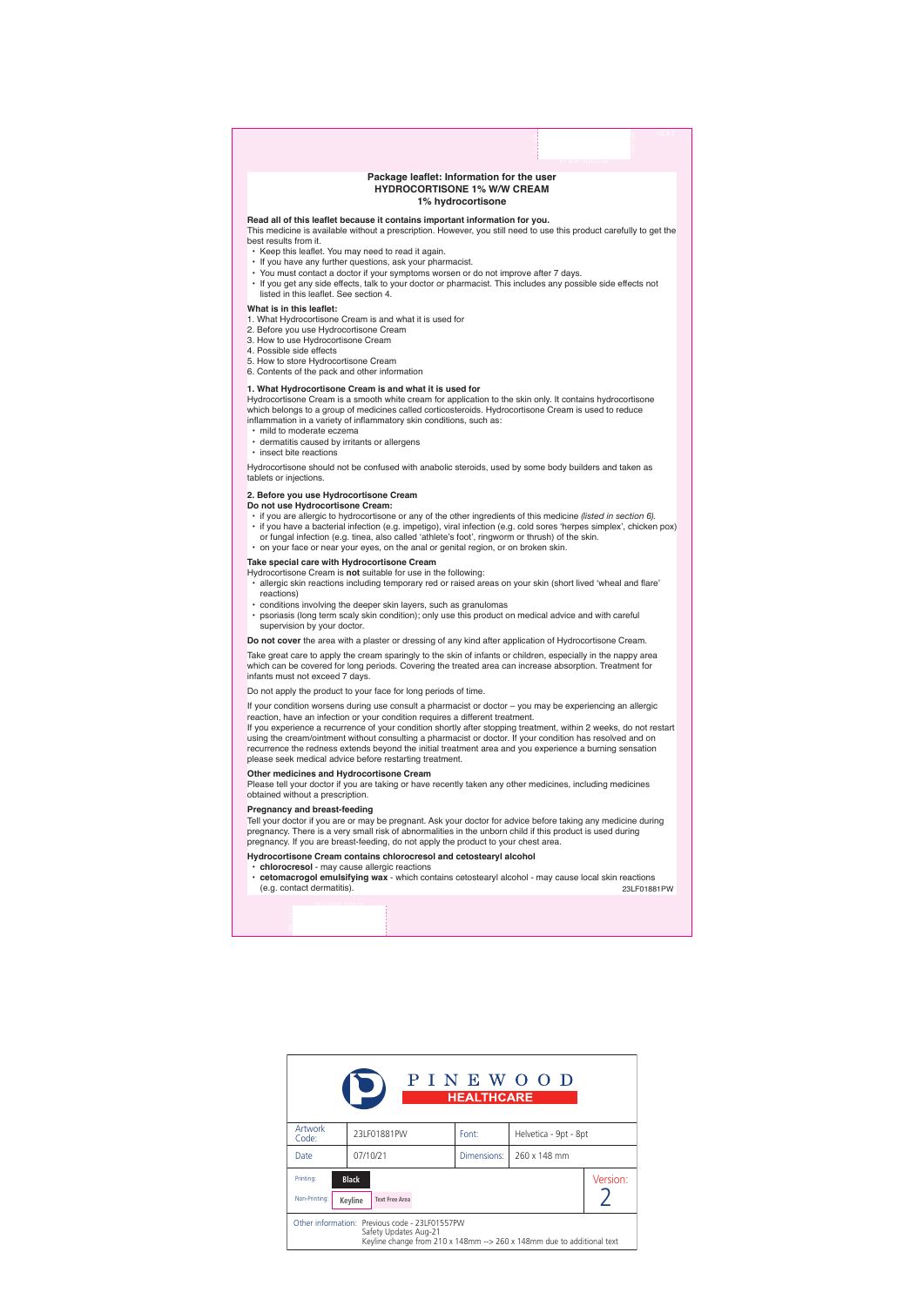# **Package leaflet: Information for the user HYDROCORTISONE 1% W/W CREAM 1% hydrocortisone**

# **Read all of this leaflet because it contains important information for you.**

This medicine is available without a prescription. However, you still need to use this product carefully to get the best results from it.

- Keep this leaflet. You may need to read it again.
- If you have any further questions, ask your pharmacist.
- You must contact a doctor if your symptoms worsen or do not improve after 7 days.
- If you get any side effects, talk to your doctor or pharmacist. This includes any possible side effects not listed in this leaflet. See section 4.

# **What is in this leaflet:**

- 1. What Hydrocortisone Cream is and what it is used for
- 2. Before you use Hydrocortisone Cream
- 3. How to use Hydrocortisone Cream
- 4. Possible side effects
- 5. How to store Hydrocortisone Cream
- 6. Contents of the pack and other information

### **1. What Hydrocortisone Cream is and what it is used for**

Hydrocortisone Cream is a smooth white cream for application to the skin only. It contains hydrocortisone which belongs to a group of medicines called corticosteroids. Hydrocortisone Cream is used to reduce inflammation in a variety of inflammatory skin conditions, such as:

- mild to moderate eczema
- dermatitis caused by irritants or allergens
- insect bite reactions

Hydrocortisone should not be confused with anabolic steroids, used by some body builders and taken as tablets or injections.

# **2. Before you use Hydrocortisone Cream**

### **Do not use Hydrocortisone Cream:**

- if you are allergic to hydrocortisone or any of the other ingredients of this medicine *(listed in section 6).*
- if you have a bacterial infection (e.g. impetigo), viral infection (e.g. cold sores 'herpes simplex', chicken pox) or fungal infection (e.g. tinea, also called 'athlete's foot', ringworm or thrush) of the skin.
- on your face or near your eyes, on the anal or genital region, or on broken skin.

# **Take special care with Hydrocortisone Cream**

Hydrocortisone Cream is **not** suitable for use in the following:

- allergic skin reactions including temporary red or raised areas on your skin (short lived 'wheal and flare' reactions)
- conditions involving the deeper skin layers, such as granulomas
- psoriasis (long term scaly skin condition); only use this product on medical advice and with careful supervision by your doctor.

**Do not cover** the area with a plaster or dressing of any kind after application of Hydrocortisone Cream.

Take great care to apply the cream sparingly to the skin of infants or children, especially in the nappy area which can be covered for long periods. Covering the treated area can increase absorption. Treatment for infants must not exceed 7 days.

Do not apply the product to your face for long periods of time.

If your condition worsens during use consult a pharmacist or doctor – you may be experiencing an allergic reaction, have an infection or your condition requires a different treatment.

If you experience a recurrence of your condition shortly after stopping treatment, within 2 weeks, do not restart using the cream/ointment without consulting a pharmacist or doctor. If your condition has resolved and on recurrence the redness extends beyond the initial treatment area and you experience a burning sensation please seek medical advice before restarting treatment.

## **Other medicines and Hydrocortisone Cream**

Please tell your doctor if you are taking or have recently taken any other medicines, including medicines obtained without a prescription.

## **Pregnancy and breast-feeding**

Tell your doctor if you are or may be pregnant. Ask your doctor for advice before taking any medicine during pregnancy. There is a very small risk of abnormalities in the unborn child if this product is used during pregnancy. If you are breast-feeding, do not apply the product to your chest area.

# **Hydrocortisone Cream contains chlorocresol and cetostearyl alcohol**

- **chlorocresol** may cause allergic reactions
- **cetomacrogol emulsifying wax** which contains cetostearyl alcohol may cause local skin reactions (e.g. contact dermatitis). 23LF01881PW